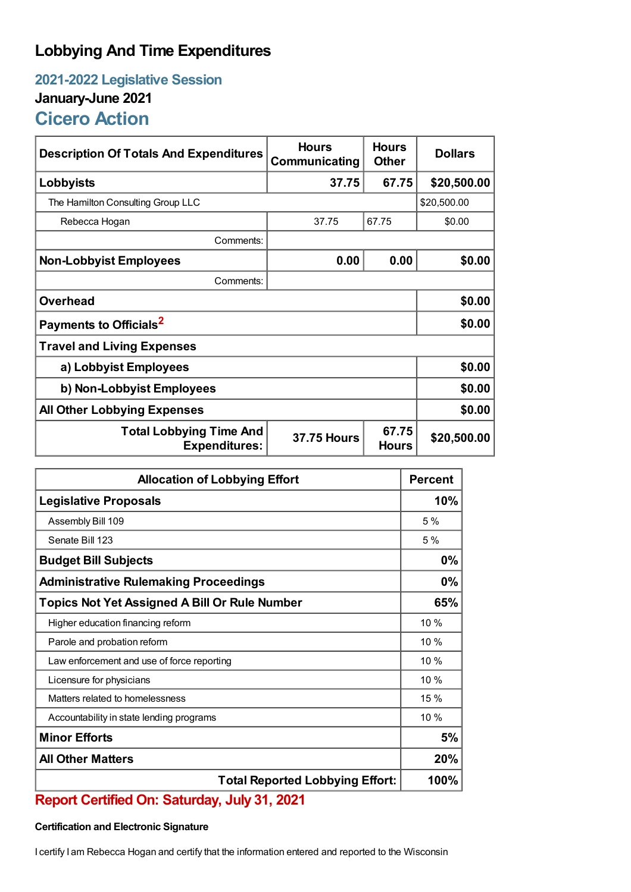## **Lobbying And Time Expenditures**

## **2021-2022 Legislative Session January-June 2021 Cicero Action**

| <b>Description Of Totals And Expenditures</b>                                                         | <b>Hours</b><br>Communicating | <b>Hours</b><br><b>Other</b> | <b>Dollars</b> |  |
|-------------------------------------------------------------------------------------------------------|-------------------------------|------------------------------|----------------|--|
| Lobbyists                                                                                             | 37.75                         | 67.75                        | \$20,500.00    |  |
| The Hamilton Consulting Group LLC                                                                     | \$20,500.00                   |                              |                |  |
| Rebecca Hogan                                                                                         | 37.75                         | 67.75                        | \$0.00         |  |
| Comments:                                                                                             |                               |                              |                |  |
| <b>Non-Lobbyist Employees</b>                                                                         | 0.00                          | 0.00                         | \$0.00         |  |
| Comments:                                                                                             |                               |                              |                |  |
| <b>Overhead</b>                                                                                       |                               |                              | \$0.00         |  |
| Payments to Officials <sup>2</sup>                                                                    | \$0.00                        |                              |                |  |
| <b>Travel and Living Expenses</b>                                                                     |                               |                              |                |  |
| a) Lobbyist Employees                                                                                 | \$0.00                        |                              |                |  |
| b) Non-Lobbyist Employees                                                                             | \$0.00                        |                              |                |  |
| <b>All Other Lobbying Expenses</b>                                                                    |                               |                              | \$0.00         |  |
| 67.75<br><b>Total Lobbying Time And</b><br><b>37.75 Hours</b><br><b>Expenditures:</b><br><b>Hours</b> |                               |                              | \$20,500.00    |  |

| <b>Allocation of Lobbying Effort</b>                 |      |
|------------------------------------------------------|------|
| <b>Legislative Proposals</b>                         |      |
| Assembly Bill 109                                    | 5 %  |
| Senate Bill 123                                      | 5%   |
| <b>Budget Bill Subjects</b>                          | 0%   |
| <b>Administrative Rulemaking Proceedings</b>         | 0%   |
| <b>Topics Not Yet Assigned A Bill Or Rule Number</b> | 65%  |
| Higher education financing reform                    | 10%  |
| Parole and probation reform                          | 10%  |
| Law enforcement and use of force reporting           | 10%  |
| Licensure for physicians                             | 10%  |
| Matters related to homelessness                      | 15%  |
| Accountability in state lending programs             | 10%  |
| <b>Minor Efforts</b>                                 | 5%   |
| <b>All Other Matters</b>                             | 20%  |
| <b>Total Reported Lobbying Effort:</b>               | 100% |

## **Report Certified On: Saturday, July 31, 2021**

## **Certification and Electronic Signature**

I certify I am Rebecca Hogan and certify that the information entered and reported to the Wisconsin